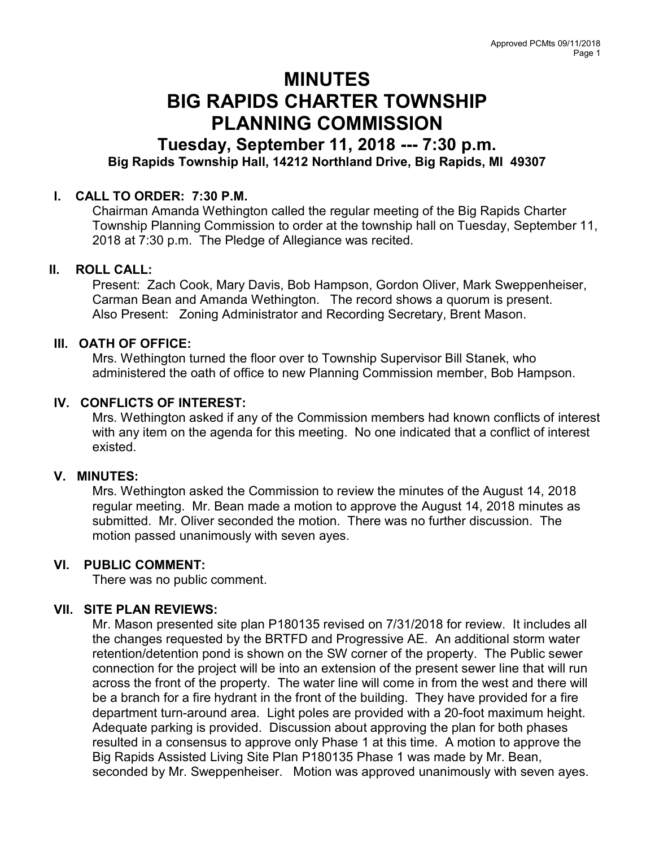# MINUTES BIG RAPIDS CHARTER TOWNSHIP PLANNING COMMISSION

# Tuesday, September 11, 2018 --- 7:30 p.m. Big Rapids Township Hall, 14212 Northland Drive, Big Rapids, MI 49307

#### I. CALL TO ORDER: 7:30 P.M.

Chairman Amanda Wethington called the regular meeting of the Big Rapids Charter Township Planning Commission to order at the township hall on Tuesday, September 11, 2018 at 7:30 p.m. The Pledge of Allegiance was recited.

#### II. ROLL CALL:

Present: Zach Cook, Mary Davis, Bob Hampson, Gordon Oliver, Mark Sweppenheiser, Carman Bean and Amanda Wethington. The record shows a quorum is present. Also Present: Zoning Administrator and Recording Secretary, Brent Mason.

#### III. OATH OF OFFICE:

Mrs. Wethington turned the floor over to Township Supervisor Bill Stanek, who administered the oath of office to new Planning Commission member, Bob Hampson.

# IV. CONFLICTS OF INTEREST:

Mrs. Wethington asked if any of the Commission members had known conflicts of interest with any item on the agenda for this meeting. No one indicated that a conflict of interest existed.

#### V. MINUTES:

Mrs. Wethington asked the Commission to review the minutes of the August 14, 2018 regular meeting. Mr. Bean made a motion to approve the August 14, 2018 minutes as submitted. Mr. Oliver seconded the motion. There was no further discussion. The motion passed unanimously with seven ayes.

#### VI. PUBLIC COMMENT:

There was no public comment.

# VII. SITE PLAN REVIEWS:

Mr. Mason presented site plan P180135 revised on 7/31/2018 for review. It includes all the changes requested by the BRTFD and Progressive AE. An additional storm water retention/detention pond is shown on the SW corner of the property. The Public sewer connection for the project will be into an extension of the present sewer line that will run across the front of the property. The water line will come in from the west and there will be a branch for a fire hydrant in the front of the building. They have provided for a fire department turn-around area. Light poles are provided with a 20-foot maximum height. Adequate parking is provided. Discussion about approving the plan for both phases resulted in a consensus to approve only Phase 1 at this time. A motion to approve the Big Rapids Assisted Living Site Plan P180135 Phase 1 was made by Mr. Bean, seconded by Mr. Sweppenheiser. Motion was approved unanimously with seven ayes.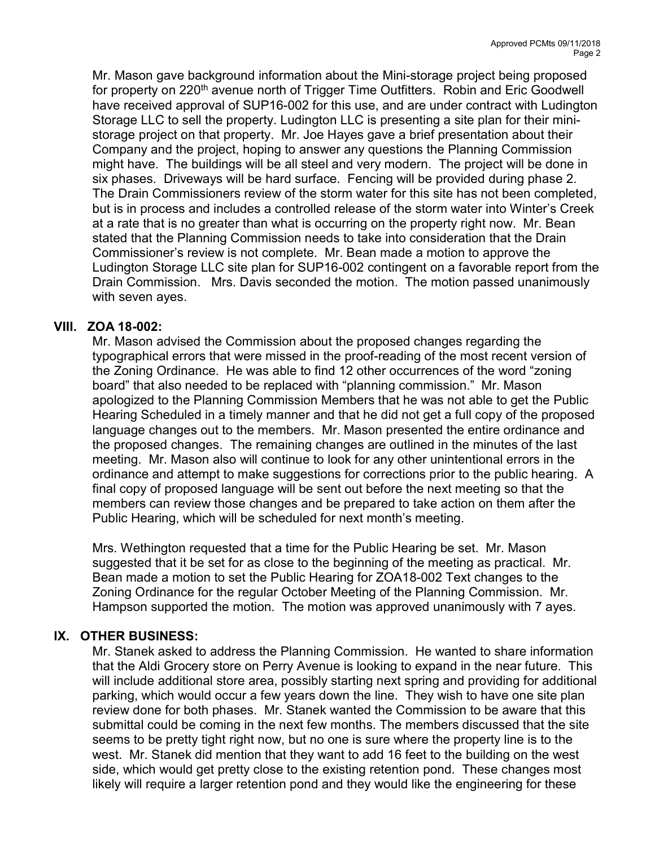Mr. Mason gave background information about the Mini-storage project being proposed for property on 220<sup>th</sup> avenue north of Trigger Time Outfitters. Robin and Eric Goodwell have received approval of SUP16-002 for this use, and are under contract with Ludington Storage LLC to sell the property. Ludington LLC is presenting a site plan for their ministorage project on that property. Mr. Joe Hayes gave a brief presentation about their Company and the project, hoping to answer any questions the Planning Commission might have. The buildings will be all steel and very modern. The project will be done in six phases. Driveways will be hard surface. Fencing will be provided during phase 2. The Drain Commissioners review of the storm water for this site has not been completed, but is in process and includes a controlled release of the storm water into Winter's Creek at a rate that is no greater than what is occurring on the property right now. Mr. Bean stated that the Planning Commission needs to take into consideration that the Drain Commissioner's review is not complete. Mr. Bean made a motion to approve the Ludington Storage LLC site plan for SUP16-002 contingent on a favorable report from the Drain Commission. Mrs. Davis seconded the motion. The motion passed unanimously with seven ayes.

# VIII. ZOA 18-002:

Mr. Mason advised the Commission about the proposed changes regarding the typographical errors that were missed in the proof-reading of the most recent version of the Zoning Ordinance. He was able to find 12 other occurrences of the word "zoning board" that also needed to be replaced with "planning commission." Mr. Mason apologized to the Planning Commission Members that he was not able to get the Public Hearing Scheduled in a timely manner and that he did not get a full copy of the proposed language changes out to the members. Mr. Mason presented the entire ordinance and the proposed changes. The remaining changes are outlined in the minutes of the last meeting. Mr. Mason also will continue to look for any other unintentional errors in the ordinance and attempt to make suggestions for corrections prior to the public hearing. A final copy of proposed language will be sent out before the next meeting so that the members can review those changes and be prepared to take action on them after the Public Hearing, which will be scheduled for next month's meeting.

Mrs. Wethington requested that a time for the Public Hearing be set. Mr. Mason suggested that it be set for as close to the beginning of the meeting as practical. Mr. Bean made a motion to set the Public Hearing for ZOA18-002 Text changes to the Zoning Ordinance for the regular October Meeting of the Planning Commission. Mr. Hampson supported the motion. The motion was approved unanimously with 7 ayes.

# IX. OTHER BUSINESS:

Mr. Stanek asked to address the Planning Commission. He wanted to share information that the Aldi Grocery store on Perry Avenue is looking to expand in the near future. This will include additional store area, possibly starting next spring and providing for additional parking, which would occur a few years down the line. They wish to have one site plan review done for both phases. Mr. Stanek wanted the Commission to be aware that this submittal could be coming in the next few months. The members discussed that the site seems to be pretty tight right now, but no one is sure where the property line is to the west. Mr. Stanek did mention that they want to add 16 feet to the building on the west side, which would get pretty close to the existing retention pond. These changes most likely will require a larger retention pond and they would like the engineering for these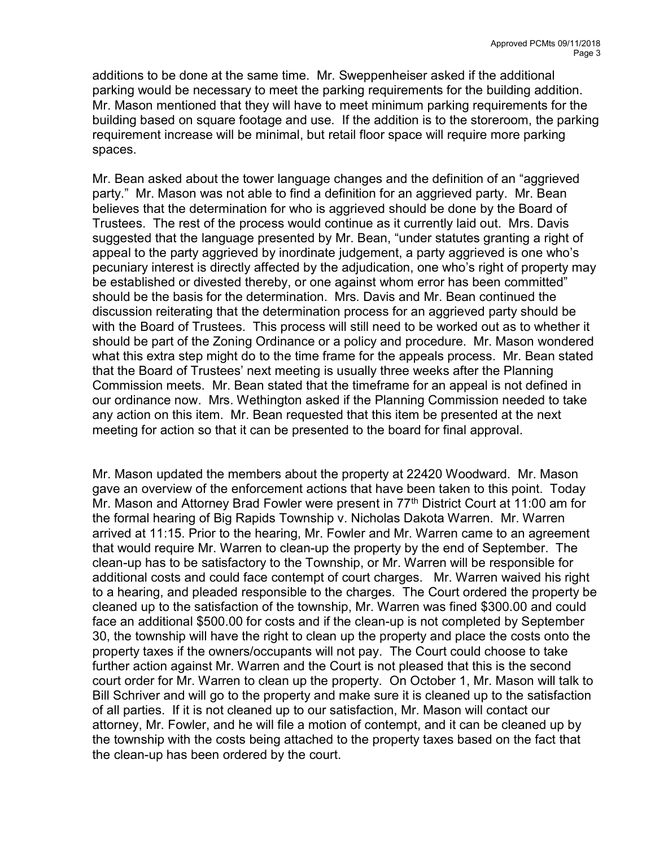additions to be done at the same time. Mr. Sweppenheiser asked if the additional parking would be necessary to meet the parking requirements for the building addition. Mr. Mason mentioned that they will have to meet minimum parking requirements for the building based on square footage and use. If the addition is to the storeroom, the parking requirement increase will be minimal, but retail floor space will require more parking spaces.

Mr. Bean asked about the tower language changes and the definition of an "aggrieved party." Mr. Mason was not able to find a definition for an aggrieved party. Mr. Bean believes that the determination for who is aggrieved should be done by the Board of Trustees. The rest of the process would continue as it currently laid out. Mrs. Davis suggested that the language presented by Mr. Bean, "under statutes granting a right of appeal to the party aggrieved by inordinate judgement, a party aggrieved is one who's pecuniary interest is directly affected by the adjudication, one who's right of property may be established or divested thereby, or one against whom error has been committed" should be the basis for the determination. Mrs. Davis and Mr. Bean continued the discussion reiterating that the determination process for an aggrieved party should be with the Board of Trustees. This process will still need to be worked out as to whether it should be part of the Zoning Ordinance or a policy and procedure. Mr. Mason wondered what this extra step might do to the time frame for the appeals process. Mr. Bean stated that the Board of Trustees' next meeting is usually three weeks after the Planning Commission meets. Mr. Bean stated that the timeframe for an appeal is not defined in our ordinance now. Mrs. Wethington asked if the Planning Commission needed to take any action on this item. Mr. Bean requested that this item be presented at the next meeting for action so that it can be presented to the board for final approval.

Mr. Mason updated the members about the property at 22420 Woodward. Mr. Mason gave an overview of the enforcement actions that have been taken to this point. Today Mr. Mason and Attorney Brad Fowler were present in 77<sup>th</sup> District Court at 11:00 am for the formal hearing of Big Rapids Township v. Nicholas Dakota Warren. Mr. Warren arrived at 11:15. Prior to the hearing, Mr. Fowler and Mr. Warren came to an agreement that would require Mr. Warren to clean-up the property by the end of September. The clean-up has to be satisfactory to the Township, or Mr. Warren will be responsible for additional costs and could face contempt of court charges. Mr. Warren waived his right to a hearing, and pleaded responsible to the charges. The Court ordered the property be cleaned up to the satisfaction of the township, Mr. Warren was fined \$300.00 and could face an additional \$500.00 for costs and if the clean-up is not completed by September 30, the township will have the right to clean up the property and place the costs onto the property taxes if the owners/occupants will not pay. The Court could choose to take further action against Mr. Warren and the Court is not pleased that this is the second court order for Mr. Warren to clean up the property. On October 1, Mr. Mason will talk to Bill Schriver and will go to the property and make sure it is cleaned up to the satisfaction of all parties. If it is not cleaned up to our satisfaction, Mr. Mason will contact our attorney, Mr. Fowler, and he will file a motion of contempt, and it can be cleaned up by the township with the costs being attached to the property taxes based on the fact that the clean-up has been ordered by the court.